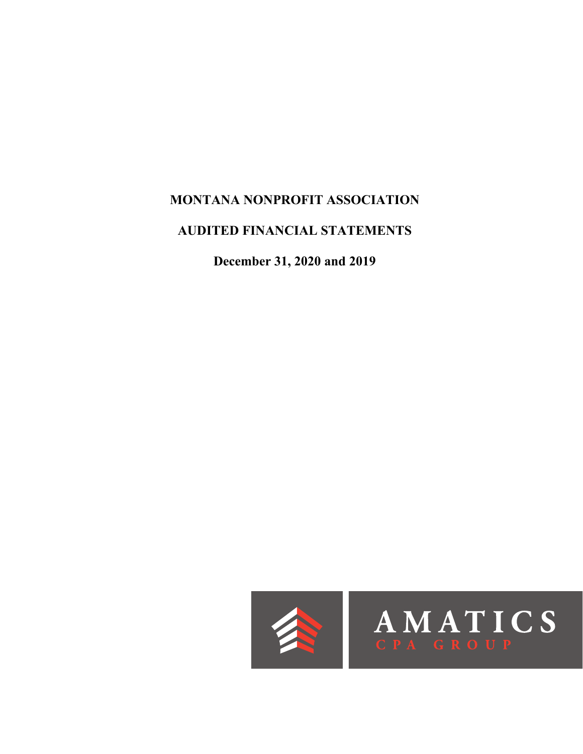# **MONTANA NONPROFIT ASSOCIATION**

# **AUDITED FINANCIAL STATEMENTS**

**December 31, 2020 and 2019**



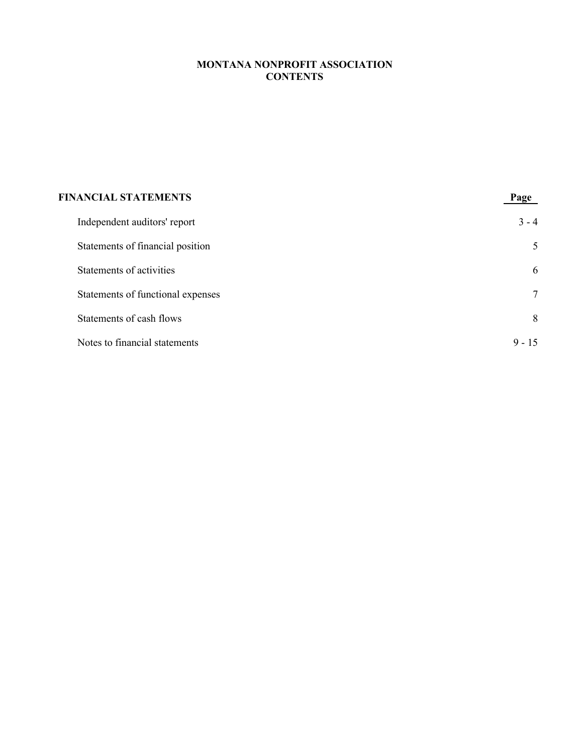# **MONTANA NONPROFIT ASSOCIATION CONTENTS**

| <b>FINANCIAL STATEMENTS</b>       | Page     |
|-----------------------------------|----------|
| Independent auditors' report      | $3 - 4$  |
| Statements of financial position  | 5        |
| Statements of activities          | 6        |
| Statements of functional expenses | 7        |
| Statements of cash flows          | 8        |
| Notes to financial statements     | $9 - 15$ |
|                                   |          |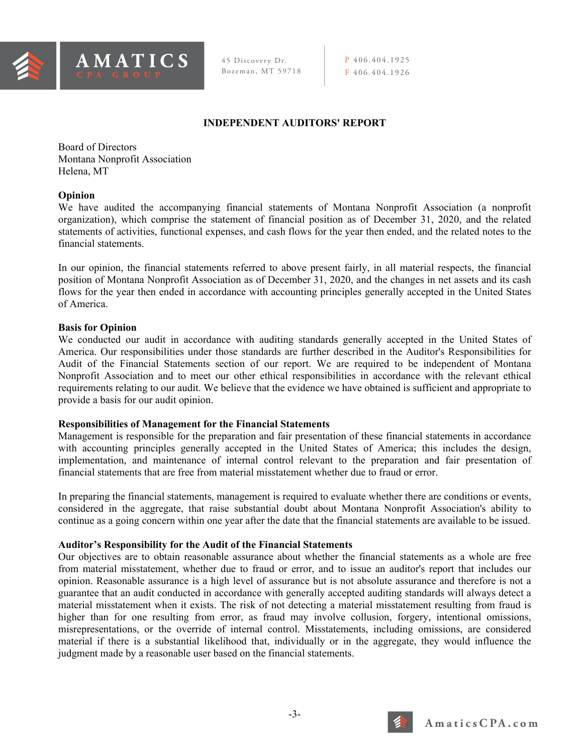

P 406.404.1925 F 406.404.1926

# **INDEPENDENT AUDITORS' REPORT**

Board of Directors Montana Nonprofit Association Helena, MT

# **Opinion**

We have audited the accompanying financial statements of Montana Nonprofit Association (a nonprofit organization), which comprise the statement of financial position as of December 31, 2020, and the related statements of activities, functional expenses, and cash flows for the year then ended, and the related notes to the financial statements.

In our opinion, the financial statements referred to above present fairly, in all material respects, the financial position of Montana Nonprofit Association as of December 31, 2020, and the changes in net assets and its cash flows for the year then ended in accordance with accounting principles generally accepted in the United States of America.

# **Basis for Opinion**

We conducted our audit in accordance with auditing standards generally accepted in the United States of America. Our responsibilities under those standards are further described in the Auditor's Responsibilities for Audit of the Financial Statements section of our report. We are required to be independent of Montana Nonprofit Association and to meet our other ethical responsibilities in accordance with the relevant ethical requirements relating to our audit. We believe that the evidence we have obtained is sufficient and appropriate to provide a basis for our audit opinion.

# **Responsibilities of Management for the Financial Statements**

Management is responsible for the preparation and fair presentation of these financial statements in accordance with accounting principles generally accepted in the United States of America; this includes the design, implementation, and maintenance of internal control relevant to the preparation and fair presentation of financial statements that are free from material misstatement whether due to fraud or error.

In preparing the financial statements, management is required to evaluate whether there are conditions or events, considered in the aggregate, that raise substantial doubt about Montana Nonprofit Association's ability to continue as a going concern within one year after the date that the financial statements are available to be issued.

# **Auditor's Responsibility for the Audit of the Financial Statements**

Our objectives are to obtain reasonable assurance about whether the financial statements as a whole are free from material misstatement, whether due to fraud or error, and to issue an auditor's report that includes our opinion. Reasonable assurance is a high level of assurance but is not absolute assurance and therefore is not a guarantee that an audit conducted in accordance with generally accepted auditing standards will always detect a material misstatement when it exists. The risk of not detecting a material misstatement resulting from fraud is higher than for one resulting from error, as fraud may involve collusion, forgery, intentional omissions, misrepresentations, or the override of internal control. Misstatements, including omissions, are considered material if there is a substantial likelihood that, individually or in the aggregate, they would influence the judgment made by a reasonable user based on the financial statements.

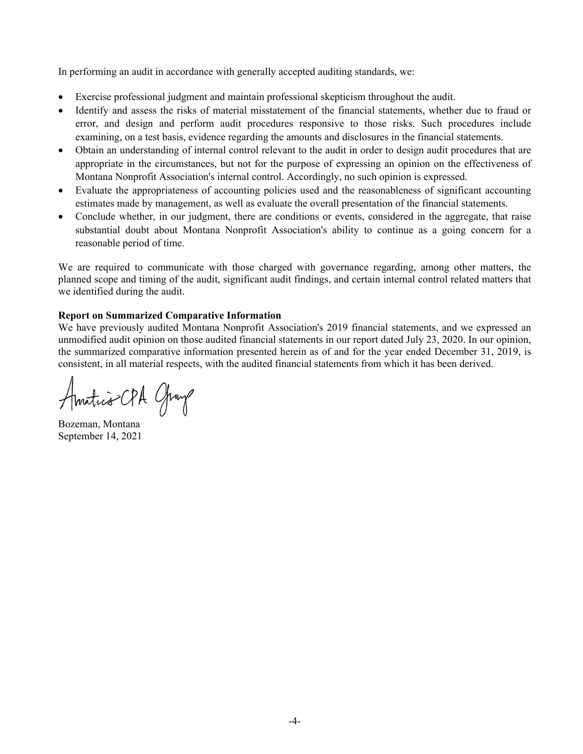In performing an audit in accordance with generally accepted auditing standards, we:

- Exercise professional judgment and maintain professional skepticism throughout the audit.
- Identify and assess the risks of material misstatement of the financial statements, whether due to fraud or error, and design and perform audit procedures responsive to those risks. Such procedures include examining, on a test basis, evidence regarding the amounts and disclosures in the financial statements.
- Obtain an understanding of internal control relevant to the audit in order to design audit procedures that are appropriate in the circumstances, but not for the purpose of expressing an opinion on the effectiveness of Montana Nonprofit Association's internal control. Accordingly, no such opinion is expressed.
- Evaluate the appropriateness of accounting policies used and the reasonableness of significant accounting estimates made by management, as well as evaluate the overall presentation of the financial statements.
- Conclude whether, in our judgment, there are conditions or events, considered in the aggregate, that raise substantial doubt about Montana Nonprofit Association's ability to continue as a going concern for a reasonable period of time.

We are required to communicate with those charged with governance regarding, among other matters, the planned scope and timing of the audit, significant audit findings, and certain internal control related matters that we identified during the audit.

# **Report on Summarized Comparative Information**

We have previously audited Montana Nonprofit Association's 2019 financial statements, and we expressed an unmodified audit opinion on those audited financial statements in our report dated July 23, 2020. In our opinion, the summarized comparative information presented herein as of and for the year ended December 31, 2019, is consistent, in all material respects, with the audited financial statements from which it has been derived.

Amatric CPA Gray

Bozeman, Montana September 14, 2021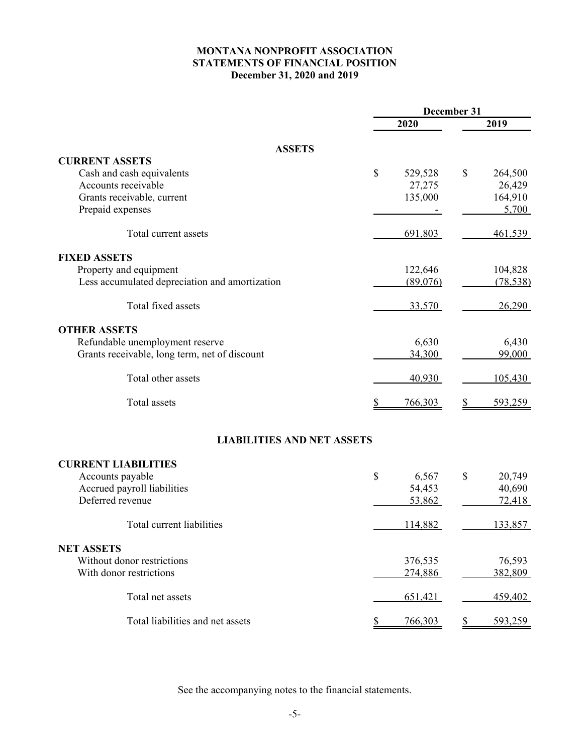# **MONTANA NONPROFIT ASSOCIATION STATEMENTS OF FINANCIAL POSITION December 31, 2020 and 2019**

|                                                |    | December 31 |    |           |
|------------------------------------------------|----|-------------|----|-----------|
|                                                |    | 2020        |    | 2019      |
| <b>ASSETS</b>                                  |    |             |    |           |
| <b>CURRENT ASSETS</b>                          |    |             |    |           |
| Cash and cash equivalents                      | \$ | 529,528     | \$ | 264,500   |
| Accounts receivable                            |    | 27,275      |    | 26,429    |
| Grants receivable, current                     |    | 135,000     |    | 164,910   |
| Prepaid expenses                               |    |             |    | 5,700     |
| Total current assets                           |    | 691,803     |    | 461,539   |
| <b>FIXED ASSETS</b>                            |    |             |    |           |
| Property and equipment                         |    | 122,646     |    | 104,828   |
| Less accumulated depreciation and amortization |    | (89,076)    |    | (78, 538) |
| Total fixed assets                             |    | 33,570      |    | 26,290    |
| <b>OTHER ASSETS</b>                            |    |             |    |           |
| Refundable unemployment reserve                |    | 6,630       |    | 6,430     |
| Grants receivable, long term, net of discount  |    | 34,300      |    | 99,000    |
| Total other assets                             |    | 40,930      |    | 105,430   |
| Total assets                                   | \$ | 766,303     | S  | 593,259   |
| <b>LIABILITIES AND NET ASSETS</b>              |    |             |    |           |
| <b>CURRENT LIABILITIES</b>                     |    |             |    |           |
| Accounts payable                               | \$ | 6,567       | \$ | 20,749    |
| Accrued payroll liabilities                    |    | 54,453      |    | 40,690    |
| Deferred revenue                               |    | 53,862      |    | 72,418    |
| Total current liabilities                      |    | 114,882     |    | 133,857   |
| <b>NET ASSETS</b>                              |    |             |    |           |
| Without donor restrictions                     |    | 376,535     |    | 76,593    |
| With donor restrictions                        |    | 274,886     |    | 382,809   |
| Total net assets                               |    | 651,421     |    | 459,402   |
| Total liabilities and net assets               | \$ | 766,303     | \$ | 593,259   |

See the accompanying notes to the financial statements.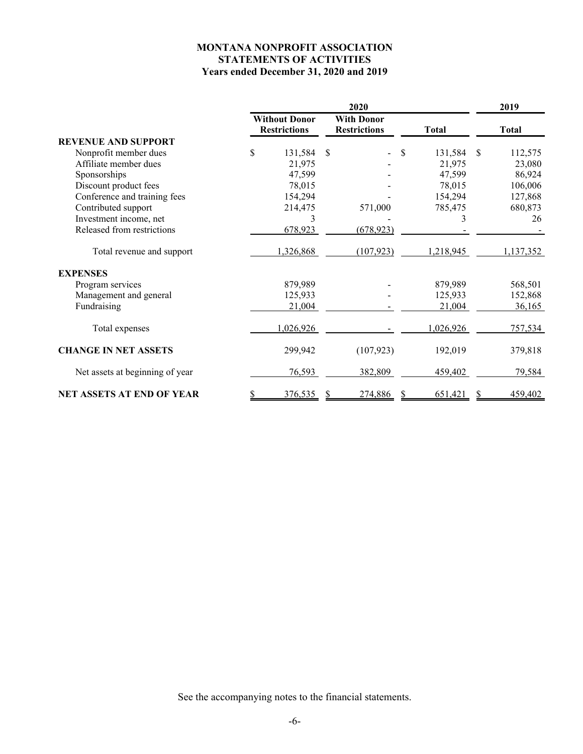# **MONTANA NONPROFIT ASSOCIATION STATEMENTS OF ACTIVITIES Years ended December 31, 2020 and 2019**

|                                  | 2020                                        |           |              |                                          |    |              |    | 2019         |
|----------------------------------|---------------------------------------------|-----------|--------------|------------------------------------------|----|--------------|----|--------------|
|                                  | <b>Without Donor</b><br><b>Restrictions</b> |           |              | <b>With Donor</b><br><b>Restrictions</b> |    | <b>Total</b> |    | <b>Total</b> |
| <b>REVENUE AND SUPPORT</b>       |                                             |           |              |                                          |    |              |    |              |
| Nonprofit member dues            | \$                                          | 131,584   | $\mathbb{S}$ | Ξ.                                       | \$ | 131,584      | \$ | 112,575      |
| Affiliate member dues            |                                             | 21,975    |              |                                          |    | 21,975       |    | 23,080       |
| Sponsorships                     |                                             | 47,599    |              |                                          |    | 47,599       |    | 86,924       |
| Discount product fees            |                                             | 78,015    |              |                                          |    | 78,015       |    | 106,006      |
| Conference and training fees     |                                             | 154,294   |              |                                          |    | 154,294      |    | 127,868      |
| Contributed support              |                                             | 214,475   |              | 571,000                                  |    | 785,475      |    | 680,873      |
| Investment income, net           |                                             | 3         |              |                                          |    | 3            |    | 26           |
| Released from restrictions       |                                             | 678,923   |              | (678, 923)                               |    |              |    |              |
| Total revenue and support        |                                             | 1,326,868 |              | (107, 923)                               |    | 1,218,945    |    | 1,137,352    |
| <b>EXPENSES</b>                  |                                             |           |              |                                          |    |              |    |              |
| Program services                 |                                             | 879,989   |              |                                          |    | 879,989      |    | 568,501      |
| Management and general           |                                             | 125,933   |              |                                          |    | 125,933      |    | 152,868      |
| Fundraising                      |                                             | 21,004    |              |                                          |    | 21,004       |    | 36,165       |
| Total expenses                   |                                             | 1,026,926 |              |                                          |    | 1,026,926    |    | 757,534      |
| <b>CHANGE IN NET ASSETS</b>      |                                             | 299,942   |              | (107, 923)                               |    | 192,019      |    | 379,818      |
| Net assets at beginning of year  |                                             | 76,593    |              | 382,809                                  |    | 459,402      |    | 79,584       |
| <b>NET ASSETS AT END OF YEAR</b> | \$                                          | 376,535   | <sup>S</sup> | 274,886                                  | -S | 651,421      | S  | 459,402      |

See the accompanying notes to the financial statements.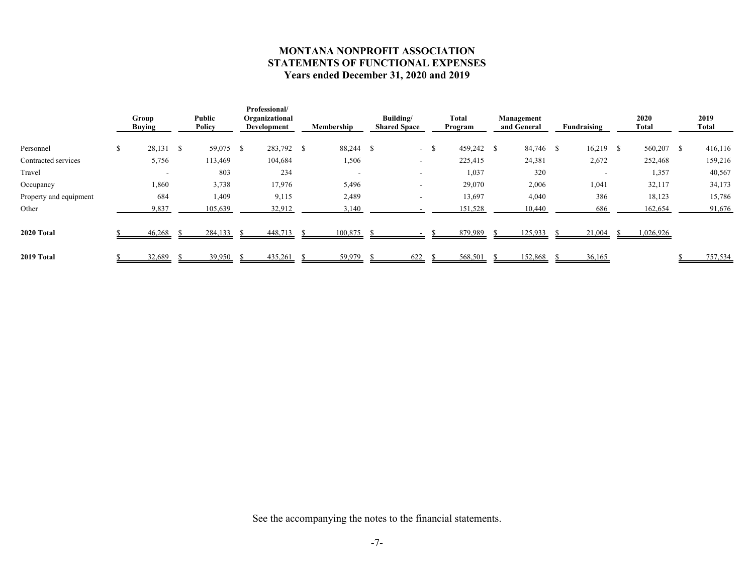# **MONTANA NONPROFIT ASSOCIATION STATEMENTS OF FUNCTIONAL EXPENSES Years ended December 31, 2020 and 2019**

|                        |    | Group<br><b>Buying</b> | Public<br><b>Policy</b> |    | Professional/<br>Organizational<br>Development | Membership | Building/<br><b>Shared Space</b> | <b>Total</b><br>Program | Management<br>and General | Fundraising | 2020<br><b>Total</b> |    | 2019<br>Total |
|------------------------|----|------------------------|-------------------------|----|------------------------------------------------|------------|----------------------------------|-------------------------|---------------------------|-------------|----------------------|----|---------------|
| Personnel              | S. | 28,131                 | 59,075                  | -S | 283,792 \$                                     | 88,244 \$  | $\sim$                           | 459,242 \$              | 84,746 \$                 | $16,219$ \$ | 560,207              | -S | 416,116       |
| Contracted services    |    | 5,756                  | 113,469                 |    | 104,684                                        | 1,506      | $\overline{\phantom{a}}$         | 225,415                 | 24,381                    | 2,672       | 252,468              |    | 159,216       |
| Travel                 |    | $\sim$                 | 803                     |    | 234                                            | $\sim$     | $\overline{\phantom{a}}$         | 1,037                   | 320                       | $\sim$      | 1,357                |    | 40,567        |
| Occupancy              |    | 1,860                  | 3,738                   |    | 17,976                                         | 5,496      |                                  | 29,070                  | 2,006                     | 1,041       | 32,117               |    | 34,173        |
| Property and equipment |    | 684                    | 1,409                   |    | 9,115                                          | 2,489      |                                  | 13,697                  | 4,040                     | 386         | 18,123               |    | 15,786        |
| Other                  |    | 9,837                  | 105,639                 |    | 32,912                                         | 3,140      |                                  | 151,528                 | 10,440                    | 686         | 162,654              |    | 91,676        |
| 2020 Total             |    | 46,268                 | 284,133                 |    | 448,713                                        | 100.875    |                                  | 879.989                 | 125,933                   | 21.004      | 1,026,926            |    |               |
| 2019 Total             |    | 32,689                 | 39,950                  |    | 435,261                                        | 59,979     | 622                              | 568,501                 | 152,868                   | 36,165      |                      |    | 757,534       |

See the accompanying the notes to the financial statements.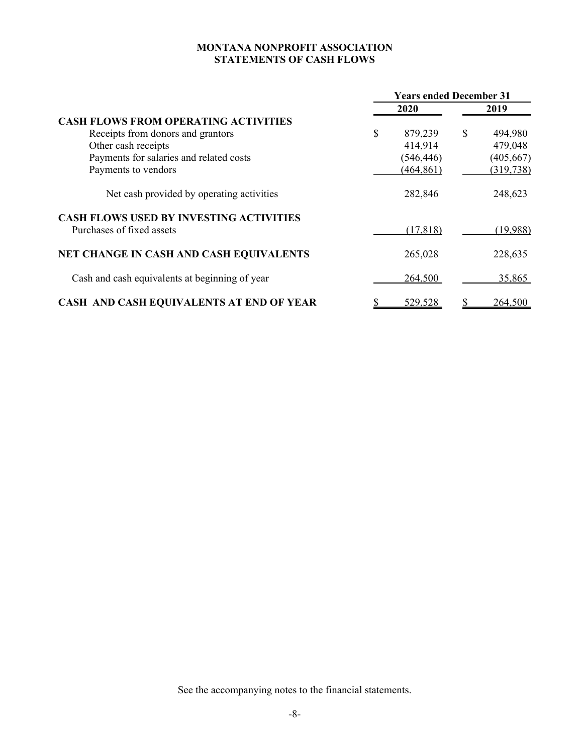# **MONTANA NONPROFIT ASSOCIATION STATEMENTS OF CASH FLOWS**

|                                                | <b>Years ended December 31</b> |             |    |            |  |
|------------------------------------------------|--------------------------------|-------------|----|------------|--|
|                                                |                                | <b>2020</b> |    | 2019       |  |
| <b>CASH FLOWS FROM OPERATING ACTIVITIES</b>    |                                |             |    |            |  |
| Receipts from donors and grantors              | \$                             | 879,239     | \$ | 494,980    |  |
| Other cash receipts                            |                                | 414,914     |    | 479,048    |  |
| Payments for salaries and related costs        |                                | (546, 446)  |    | (405, 667) |  |
| Payments to vendors                            |                                | (464, 861)  |    | (319, 738) |  |
| Net cash provided by operating activities      |                                | 282,846     |    | 248,623    |  |
| <b>CASH FLOWS USED BY INVESTING ACTIVITIES</b> |                                |             |    |            |  |
| Purchases of fixed assets                      |                                | (17, 818)   |    | (19,988)   |  |
| NET CHANGE IN CASH AND CASH EQUIVALENTS        |                                | 265,028     |    | 228,635    |  |
| Cash and cash equivalents at beginning of year |                                | 264,500     |    | 35,865     |  |
| CASH AND CASH EQUIVALENTS AT END OF YEAR       | S                              | 529,528     |    | 264,500    |  |

See the accompanying notes to the financial statements.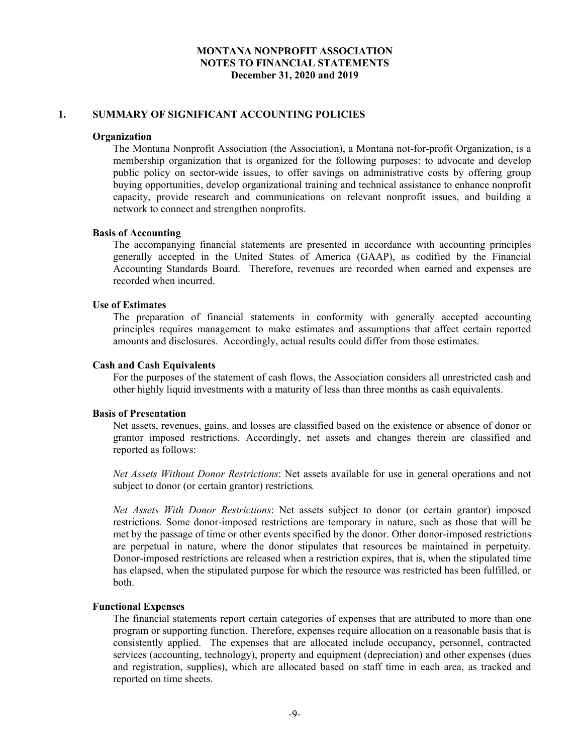#### **1. SUMMARY OF SIGNIFICANT ACCOUNTING POLICIES**

#### **Organization**

The Montana Nonprofit Association (the Association), a Montana not-for-profit Organization, is a membership organization that is organized for the following purposes: to advocate and develop public policy on sector-wide issues, to offer savings on administrative costs by offering group buying opportunities, develop organizational training and technical assistance to enhance nonprofit capacity, provide research and communications on relevant nonprofit issues, and building a network to connect and strengthen nonprofits.

#### **Basis of Accounting**

The accompanying financial statements are presented in accordance with accounting principles generally accepted in the United States of America (GAAP), as codified by the Financial Accounting Standards Board. Therefore, revenues are recorded when earned and expenses are recorded when incurred.

#### **Use of Estimates**

The preparation of financial statements in conformity with generally accepted accounting principles requires management to make estimates and assumptions that affect certain reported amounts and disclosures. Accordingly, actual results could differ from those estimates.

#### **Cash and Cash Equivalents**

For the purposes of the statement of cash flows, the Association considers all unrestricted cash and other highly liquid investments with a maturity of less than three months as cash equivalents.

### **Basis of Presentation**

Net assets, revenues, gains, and losses are classified based on the existence or absence of donor or grantor imposed restrictions. Accordingly, net assets and changes therein are classified and reported as follows:

*Net Assets Without Donor Restrictions*: Net assets available for use in general operations and not subject to donor (or certain grantor) restrictions*.*

*Net Assets With Donor Restrictions*: Net assets subject to donor (or certain grantor) imposed restrictions. Some donor-imposed restrictions are temporary in nature, such as those that will be met by the passage of time or other events specified by the donor. Other donor-imposed restrictions are perpetual in nature, where the donor stipulates that resources be maintained in perpetuity. Donor-imposed restrictions are released when a restriction expires, that is, when the stipulated time has elapsed, when the stipulated purpose for which the resource was restricted has been fulfilled, or both.

#### **Functional Expenses**

The financial statements report certain categories of expenses that are attributed to more than one program or supporting function. Therefore, expenses require allocation on a reasonable basis that is consistently applied. The expenses that are allocated include occupancy, personnel, contracted services (accounting, technology), property and equipment (depreciation) and other expenses (dues and registration, supplies), which are allocated based on staff time in each area, as tracked and reported on time sheets.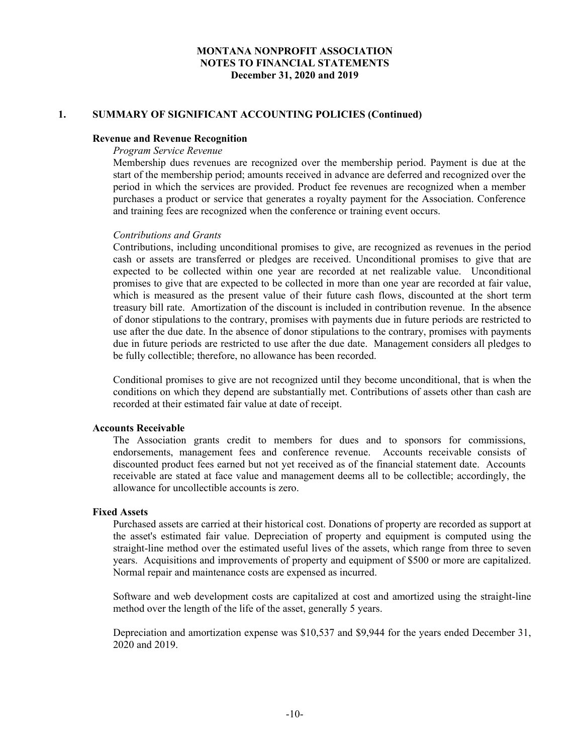### **1. SUMMARY OF SIGNIFICANT ACCOUNTING POLICIES (Continued)**

#### **Revenue and Revenue Recognition**

#### *Program Service Revenue*

Membership dues revenues are recognized over the membership period. Payment is due at the start of the membership period; amounts received in advance are deferred and recognized over the period in which the services are provided. Product fee revenues are recognized when a member purchases a product or service that generates a royalty payment for the Association. Conference and training fees are recognized when the conference or training event occurs.

### *Contributions and Grants*

Contributions, including unconditional promises to give, are recognized as revenues in the period cash or assets are transferred or pledges are received. Unconditional promises to give that are expected to be collected within one year are recorded at net realizable value. Unconditional promises to give that are expected to be collected in more than one year are recorded at fair value, which is measured as the present value of their future cash flows, discounted at the short term treasury bill rate. Amortization of the discount is included in contribution revenue. In the absence of donor stipulations to the contrary, promises with payments due in future periods are restricted to use after the due date. In the absence of donor stipulations to the contrary, promises with payments due in future periods are restricted to use after the due date. Management considers all pledges to be fully collectible; therefore, no allowance has been recorded.

Conditional promises to give are not recognized until they become unconditional, that is when the conditions on which they depend are substantially met. Contributions of assets other than cash are recorded at their estimated fair value at date of receipt.

#### **Accounts Receivable**

The Association grants credit to members for dues and to sponsors for commissions, endorsements, management fees and conference revenue. Accounts receivable consists of discounted product fees earned but not yet received as of the financial statement date. Accounts receivable are stated at face value and management deems all to be collectible; accordingly, the allowance for uncollectible accounts is zero.

#### **Fixed Assets**

Purchased assets are carried at their historical cost. Donations of property are recorded as support at the asset's estimated fair value. Depreciation of property and equipment is computed using the straight-line method over the estimated useful lives of the assets, which range from three to seven years. Acquisitions and improvements of property and equipment of \$500 or more are capitalized. Normal repair and maintenance costs are expensed as incurred.

Software and web development costs are capitalized at cost and amortized using the straight-line method over the length of the life of the asset, generally 5 years.

Depreciation and amortization expense was \$10,537 and \$9,944 for the years ended December 31, 2020 and 2019.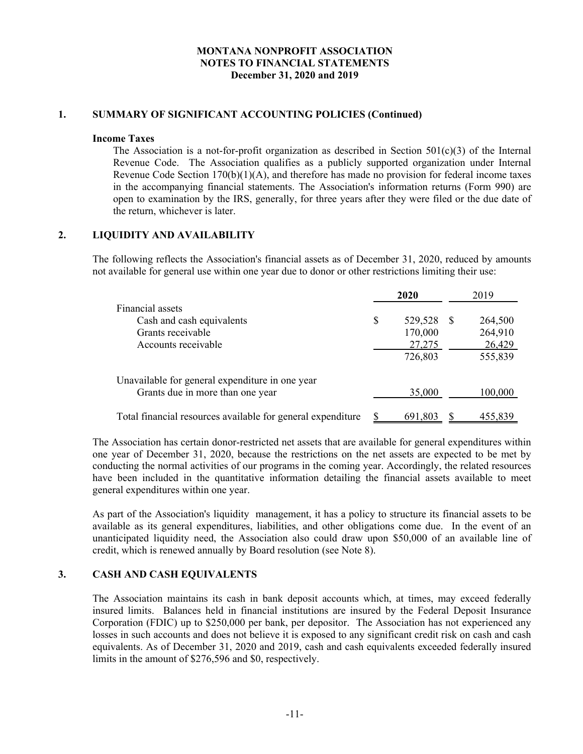### **1. SUMMARY OF SIGNIFICANT ACCOUNTING POLICIES (Continued)**

#### **Income Taxes**

The Association is a not-for-profit organization as described in Section  $501(c)(3)$  of the Internal Revenue Code. The Association qualifies as a publicly supported organization under Internal Revenue Code Section 170(b)(1)(A), and therefore has made no provision for federal income taxes in the accompanying financial statements. The Association's information returns (Form 990) are open to examination by the IRS, generally, for three years after they were filed or the due date of the return, whichever is later.

# **2. LIQUIDITY AND AVAILABILITY**

The following reflects the Association's financial assets as of December 31, 2020, reduced by amounts not available for general use within one year due to donor or other restrictions limiting their use:

|                                                             | 2020          |    | 2019    |
|-------------------------------------------------------------|---------------|----|---------|
| Financial assets                                            |               |    |         |
| Cash and cash equivalents                                   | \$<br>529,528 | -S | 264,500 |
| Grants receivable                                           | 170,000       |    | 264,910 |
| Accounts receivable                                         | 27,275        |    | 26,429  |
|                                                             | 726,803       |    | 555,839 |
| Unavailable for general expenditure in one year             |               |    |         |
| Grants due in more than one year                            | 35,000        |    | 100,000 |
|                                                             |               |    |         |
| Total financial resources available for general expenditure | 691,803       |    | 455,839 |

The Association has certain donor-restricted net assets that are available for general expenditures within one year of December 31, 2020, because the restrictions on the net assets are expected to be met by conducting the normal activities of our programs in the coming year. Accordingly, the related resources have been included in the quantitative information detailing the financial assets available to meet general expenditures within one year.

As part of the Association's liquidity management, it has a policy to structure its financial assets to be available as its general expenditures, liabilities, and other obligations come due. In the event of an unanticipated liquidity need, the Association also could draw upon \$50,000 of an available line of credit, which is renewed annually by Board resolution (see Note 8).

# **3. CASH AND CASH EQUIVALENTS**

The Association maintains its cash in bank deposit accounts which, at times, may exceed federally insured limits. Balances held in financial institutions are insured by the Federal Deposit Insurance Corporation (FDIC) up to \$250,000 per bank, per depositor. The Association has not experienced any losses in such accounts and does not believe it is exposed to any significant credit risk on cash and cash equivalents. As of December 31, 2020 and 2019, cash and cash equivalents exceeded federally insured limits in the amount of \$276,596 and \$0, respectively.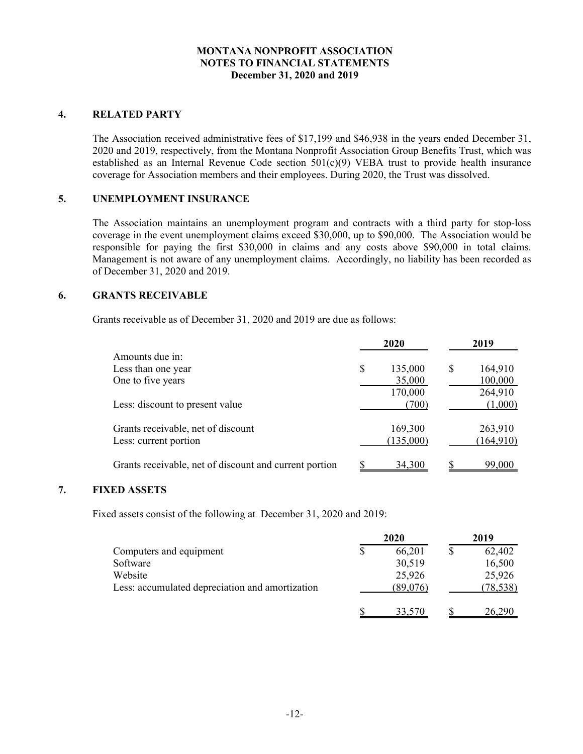### **4. RELATED PARTY**

The Association received administrative fees of \$17,199 and \$46,938 in the years ended December 31, 2020 and 2019, respectively, from the Montana Nonprofit Association Group Benefits Trust, which was established as an Internal Revenue Code section 501(c)(9) VEBA trust to provide health insurance coverage for Association members and their employees. During 2020, the Trust was dissolved.

# **5. UNEMPLOYMENT INSURANCE**

The Association maintains an unemployment program and contracts with a third party for stop-loss coverage in the event unemployment claims exceed \$30,000, up to \$90,000. The Association would be responsible for paying the first \$30,000 in claims and any costs above \$90,000 in total claims. Management is not aware of any unemployment claims. Accordingly, no liability has been recorded as of December 31, 2020 and 2019.

# **6. GRANTS RECEIVABLE**

Grants receivable as of December 31, 2020 and 2019 are due as follows:

|                                                        | 2020          | 2019          |
|--------------------------------------------------------|---------------|---------------|
| Amounts due in:                                        |               |               |
| Less than one year                                     | \$<br>135,000 | \$<br>164,910 |
| One to five years                                      | 35,000        | 100,000       |
|                                                        | 170,000       | 264,910       |
| Less: discount to present value                        | (700)         | (1,000)       |
| Grants receivable, net of discount                     | 169,300       | 263,910       |
| Less: current portion                                  | (135,000)     | (164,910)     |
| Grants receivable, net of discount and current portion | 34,300        | 99,000        |

# **7. FIXED ASSETS**

Fixed assets consist of the following at December 31, 2020 and 2019:

|                                                 | 2020         | 2019      |
|-------------------------------------------------|--------------|-----------|
| Computers and equipment                         | \$<br>66,201 | 62,402    |
| Software                                        | 30,519       | 16,500    |
| Website                                         | 25,926       | 25,926    |
| Less: accumulated depreciation and amortization | (89,076)     | (78, 538) |
|                                                 | 33,570       | 26,290    |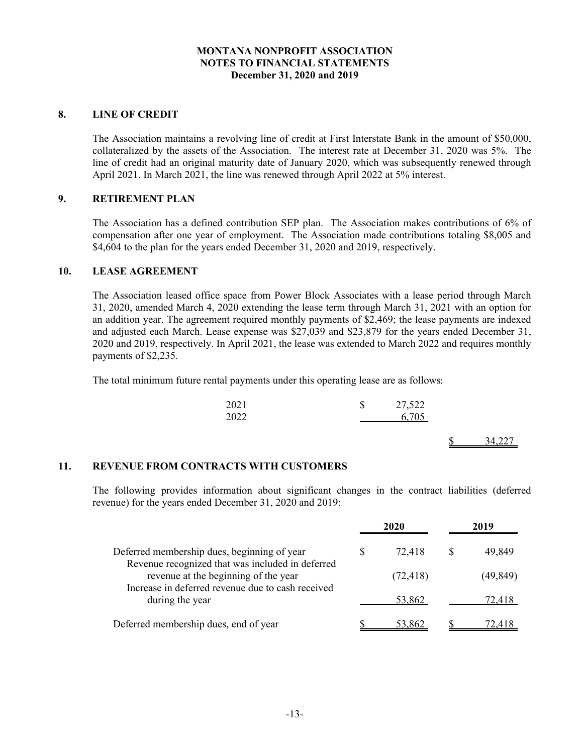### **8. LINE OF CREDIT**

The Association maintains a revolving line of credit at First Interstate Bank in the amount of \$50,000, collateralized by the assets of the Association. The interest rate at December 31, 2020 was 5%. The line of credit had an original maturity date of January 2020, which was subsequently renewed through April 2021. In March 2021, the line was renewed through April 2022 at 5% interest.

# **9. RETIREMENT PLAN**

The Association has a defined contribution SEP plan. The Association makes contributions of 6% of compensation after one year of employment. The Association made contributions totaling \$8,005 and \$4,604 to the plan for the years ended December 31, 2020 and 2019, respectively.

### **10. LEASE AGREEMENT**

The Association leased office space from Power Block Associates with a lease period through March 31, 2020, amended March 4, 2020 extending the lease term through March 31, 2021 with an option for an addition year. The agreement required monthly payments of \$2,469; the lease payments are indexed and adjusted each March. Lease expense was \$27,039 and \$23,879 for the years ended December 31, 2020 and 2019, respectively. In April 2021, the lease was extended to March 2022 and requires monthly payments of \$2,235.

The total minimum future rental payments under this operating lease are as follows:

| 2021<br>2022 | \$<br>27,522<br>6,705 |   |        |
|--------------|-----------------------|---|--------|
|              |                       | w | 34,227 |

# **11. REVENUE FROM CONTRACTS WITH CUSTOMERS**

The following provides information about significant changes in the contract liabilities (deferred revenue) for the years ended December 31, 2020 and 2019:

|                                                                                                                                               | 2020      | 2019      |
|-----------------------------------------------------------------------------------------------------------------------------------------------|-----------|-----------|
| Deferred membership dues, beginning of year                                                                                                   | 72.418    | 49,849    |
| Revenue recognized that was included in deferred<br>revenue at the beginning of the year<br>Increase in deferred revenue due to cash received | (72, 418) | (49, 849) |
| during the year                                                                                                                               | 53,862    | 72,418    |
| Deferred membership dues, end of year                                                                                                         | 53,862    | 72.418    |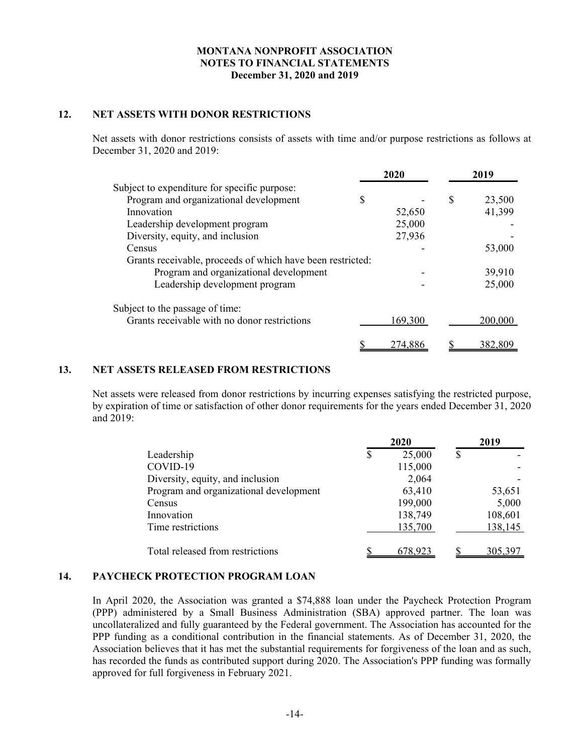# **12. NET ASSETS WITH DONOR RESTRICTIONS**

Net assets with donor restrictions consists of assets with time and/or purpose restrictions as follows at December 31, 2020 and 2019:

|                                                            |   | 2020    |   | 2019    |
|------------------------------------------------------------|---|---------|---|---------|
| Subject to expenditure for specific purpose:               |   |         |   |         |
| Program and organizational development                     | S |         | S | 23,500  |
| Innovation                                                 |   | 52,650  |   | 41,399  |
| Leadership development program                             |   | 25,000  |   |         |
| Diversity, equity, and inclusion                           |   | 27,936  |   |         |
| Census                                                     |   |         |   | 53,000  |
| Grants receivable, proceeds of which have been restricted: |   |         |   |         |
| Program and organizational development                     |   |         |   | 39,910  |
| Leadership development program                             |   |         |   | 25,000  |
| Subject to the passage of time:                            |   |         |   |         |
| Grants receivable with no donor restrictions               |   | 169,300 |   | 200,000 |
|                                                            |   | 274,886 |   | 382,809 |

# **13. NET ASSETS RELEASED FROM RESTRICTIONS**

Net assets were released from donor restrictions by incurring expenses satisfying the restricted purpose, by expiration of time or satisfaction of other donor requirements for the years ended December 31, 2020 and 2019:

|                                        | 2020         | 2019    |
|----------------------------------------|--------------|---------|
| Leadership                             | 25,000<br>\$ | \$      |
| COVID-19                               | 115,000      |         |
| Diversity, equity, and inclusion       | 2,064        |         |
| Program and organizational development | 63,410       | 53,651  |
| Census                                 | 199,000      | 5,000   |
| Innovation                             | 138,749      | 108,601 |
| Time restrictions                      | 135,700      | 138,145 |
|                                        |              |         |
| Total released from restrictions       | 678.923      | 305,397 |

# **14. PAYCHECK PROTECTION PROGRAM LOAN**

In April 2020, the Association was granted a \$74,888 loan under the Paycheck Protection Program (PPP) administered by a Small Business Administration (SBA) approved partner. The loan was uncollateralized and fully guaranteed by the Federal government. The Association has accounted for the PPP funding as a conditional contribution in the financial statements. As of December 31, 2020, the Association believes that it has met the substantial requirements for forgiveness of the loan and as such, has recorded the funds as contributed support during 2020. The Association's PPP funding was formally approved for full forgiveness in February 2021.